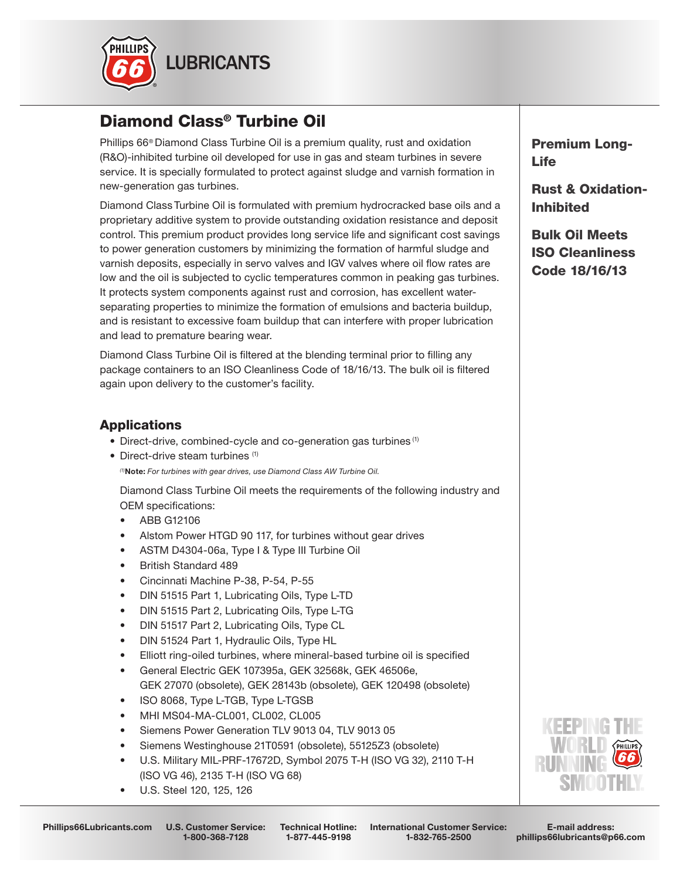

# Diamond Class® Turbine Oil

Phillips 66® Diamond Class Turbine Oil is a premium quality, rust and oxidation (R&O)-inhibited turbine oil developed for use in gas and steam turbines in severe service. It is specially formulated to protect against sludge and varnish formation in new-generation gas turbines.

Diamond Class Turbine Oil is formulated with premium hydrocracked base oils and a proprietary additive system to provide outstanding oxidation resistance and deposit control. This premium product provides long service life and significant cost savings to power generation customers by minimizing the formation of harmful sludge and varnish deposits, especially in servo valves and IGV valves where oil flow rates are low and the oil is subjected to cyclic temperatures common in peaking gas turbines. It protects system components against rust and corrosion, has excellent waterseparating properties to minimize the formation of emulsions and bacteria buildup, and is resistant to excessive foam buildup that can interfere with proper lubrication and lead to premature bearing wear.

Diamond Class Turbine Oil is filtered at the blending terminal prior to filling any package containers to an ISO Cleanliness Code of 18/16/13. The bulk oil is filtered again upon delivery to the customer's facility.

## **Applications**

- Direct-drive, combined-cycle and co-generation gas turbines<sup>(1)</sup>
- Direct-drive steam turbines (1)  *(1)*Note: *For turbines with gear drives, use Diamond Class AW Turbine Oil.*

Diamond Class Turbine Oil meets the requirements of the following industry and OEM specifications:

- ABB G12106
- Alstom Power HTGD 90 117, for turbines without gear drives
- ASTM D4304-06a, Type I & Type III Turbine Oil
- British Standard 489
- Cincinnati Machine P-38, P-54, P-55
- DIN 51515 Part 1, Lubricating Oils, Type L-TD
- DIN 51515 Part 2, Lubricating Oils, Type L-TG
- DIN 51517 Part 2, Lubricating Oils, Type CL
- DIN 51524 Part 1, Hydraulic Oils, Type HL
- Elliott ring-oiled turbines, where mineral-based turbine oil is specified
- General Electric GEK 107395a, GEK 32568k, GEK 46506e, GEK 27070 (obsolete), GEK 28143b (obsolete), GEK 120498 (obsolete)
- ISO 8068, Type L-TGB, Type L-TGSB
- MHI MS04-MA-CL001, CL002, CL005
- Siemens Power Generation TLV 9013 04, TLV 9013 05
- Siemens Westinghouse 21T0591 (obsolete), 55125Z3 (obsolete)
- U.S. Military MIL-PRF-17672D, Symbol 2075 T-H (ISO VG 32), 2110 T-H (ISO VG 46), 2135 T-H (ISO VG 68)
- U.S. Steel 120, 125, 126

Phillips66Lubricants.com U.S. Customer Service:

1-800-368-7128

International Customer Service: 1-832-765-2500 Technical Hotline: 1-877-445-9198

Premium Long-Life

Rust & Oxidation-Inhibited

Bulk Oil Meets ISO Cleanliness Code 18/16/13



E-mail address: phillips66lubricants@p66.com